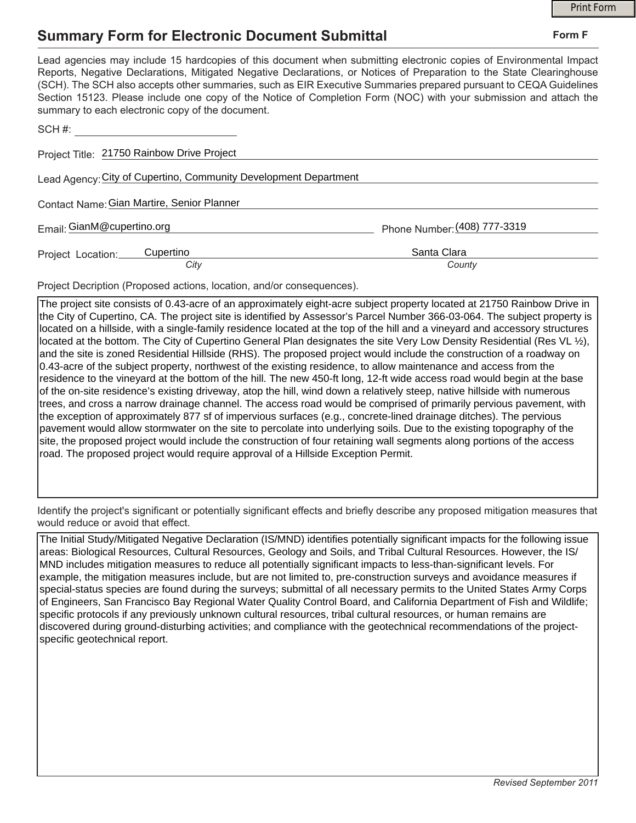## **Summary Form for Electronic Document Submittal**

|                                                                                                                                                                                                                                                                                                                                                                                                                                                                                                                                           |                              | <b>Print Form</b> |  |
|-------------------------------------------------------------------------------------------------------------------------------------------------------------------------------------------------------------------------------------------------------------------------------------------------------------------------------------------------------------------------------------------------------------------------------------------------------------------------------------------------------------------------------------------|------------------------------|-------------------|--|
| <b>Summary Form for Electronic Document Submittal</b>                                                                                                                                                                                                                                                                                                                                                                                                                                                                                     |                              | Form F            |  |
| Lead agencies may include 15 hardcopies of this document when submitting electronic copies of Environmental Impact<br>Reports, Negative Declarations, Mitigated Negative Declarations, or Notices of Preparation to the State Clearinghouse<br>(SCH). The SCH also accepts other summaries, such as EIR Executive Summaries prepared pursuant to CEQA Guidelines<br>Section 15123. Please include one copy of the Notice of Completion Form (NOC) with your submission and attach the<br>summary to each electronic copy of the document. |                              |                   |  |
|                                                                                                                                                                                                                                                                                                                                                                                                                                                                                                                                           |                              |                   |  |
| Project Title: 21750 Rainbow Drive Project                                                                                                                                                                                                                                                                                                                                                                                                                                                                                                |                              |                   |  |
| Lead Agency: City of Cupertino, Community Development Department                                                                                                                                                                                                                                                                                                                                                                                                                                                                          |                              |                   |  |
| Contact Name: Gian Martire, Senior Planner                                                                                                                                                                                                                                                                                                                                                                                                                                                                                                |                              |                   |  |
| Email: GianM@cupertino.org                                                                                                                                                                                                                                                                                                                                                                                                                                                                                                                | Phone Number: (408) 777-3319 |                   |  |
| Cupertino<br>Project Location:<br>City                                                                                                                                                                                                                                                                                                                                                                                                                                                                                                    | Santa Clara<br>County        |                   |  |

Project Decription (Proposed actions, location, and/or consequences).

The project site consists of 0.43-acre of an approximately eight-acre subject property located at 21750 Rainbow Drive in the City of Cupertino, CA. The project site is identified by Assessor's Parcel Number 366-03-064. The subject property is located on a hillside, with a single-family residence located at the top of the hill and a vineyard and accessory structures located at the bottom. The City of Cupertino General Plan designates the site Very Low Density Residential (Res VL ½), and the site is zoned Residential Hillside (RHS). The proposed project would include the construction of a roadway on 0.43-acre of the subject property, northwest of the existing residence, to allow maintenance and access from the residence to the vineyard at the bottom of the hill. The new 450-ft long, 12-ft wide access road would begin at the base of the on-site residence's existing driveway, atop the hill, wind down a relatively steep, native hillside with numerous trees, and cross a narrow drainage channel. The access road would be comprised of primarily pervious pavement, with the exception of approximately 877 sf of impervious surfaces (e.g., concrete-lined drainage ditches). The pervious pavement would allow stormwater on the site to percolate into underlying soils. Due to the existing topography of the site, the proposed project would include the construction of four retaining wall segments along portions of the access road. The proposed project would require approval of a Hillside Exception Permit.

Identify the project's significant or potentially significant effects and briefly describe any proposed mitigation measures that would reduce or avoid that effect.

The Initial Study/Mitigated Negative Declaration (IS/MND) identifies potentially significant impacts for the following issue areas: Biological Resources, Cultural Resources, Geology and Soils, and Tribal Cultural Resources. However, the IS/ MND includes mitigation measures to reduce all potentially significant impacts to less-than-significant levels. For example, the mitigation measures include, but are not limited to, pre-construction surveys and avoidance measures if special-status species are found during the surveys; submittal of all necessary permits to the United States Army Corps of Engineers, San Francisco Bay Regional Water Quality Control Board, and California Department of Fish and Wildlife; specific protocols if any previously unknown cultural resources, tribal cultural resources, or human remains are discovered during ground-disturbing activities; and compliance with the geotechnical recommendations of the projectspecific geotechnical report.